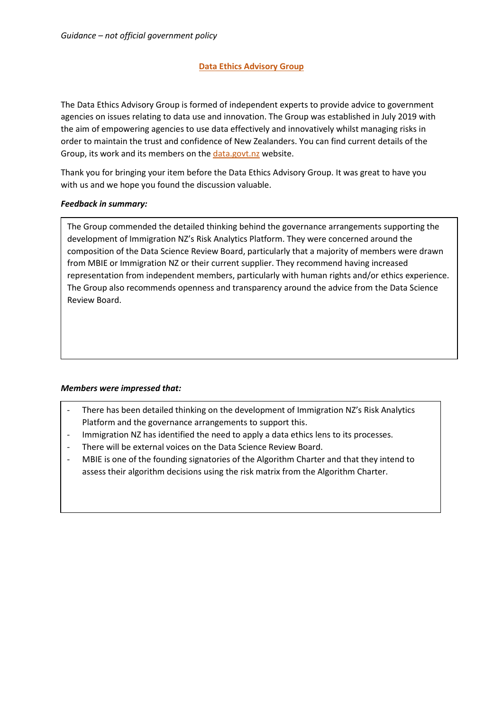### **Data Ethics Advisory Group**

The Data Ethics Advisory Group is formed of independent experts to provide advice to government agencies on issues relating to data use and innovation. The Group was established in July 2019 with the aim of empowering agencies to use data effectively and innovatively whilst managing risks in order to maintain the trust and confidence of New Zealanders. You can find current details of the Group, its work and its members on the [data.govt.nz](https://data.govt.nz/about/government-chief-data-steward-gcds/data-ethics-advisory-group/meeting-agendas-and-minutes/) website.

Thank you for bringing your item before the Data Ethics Advisory Group. It was great to have you with us and we hope you found the discussion valuable.

#### *Feedback in summary:*

The Group commended the detailed thinking behind the governance arrangements supporting the development of Immigration NZ's Risk Analytics Platform. They were concerned around the composition of the Data Science Review Board, particularly that a majority of members were drawn from MBIE or Immigration NZ or their current supplier. They recommend having increased representation from independent members, particularly with human rights and/or ethics experience. The Group also recommends openness and transparency around the advice from the Data Science Review Board.

# *Members were impressed that:*

- There has been detailed thinking on the development of Immigration NZ's Risk Analytics Platform and the governance arrangements to support this.
- Immigration NZ has identified the need to apply a data ethics lens to its processes.
- There will be external voices on the Data Science Review Board.
- MBIE is one of the founding signatories of the Algorithm Charter and that they intend to assess their algorithm decisions using the risk matrix from the Algorithm Charter.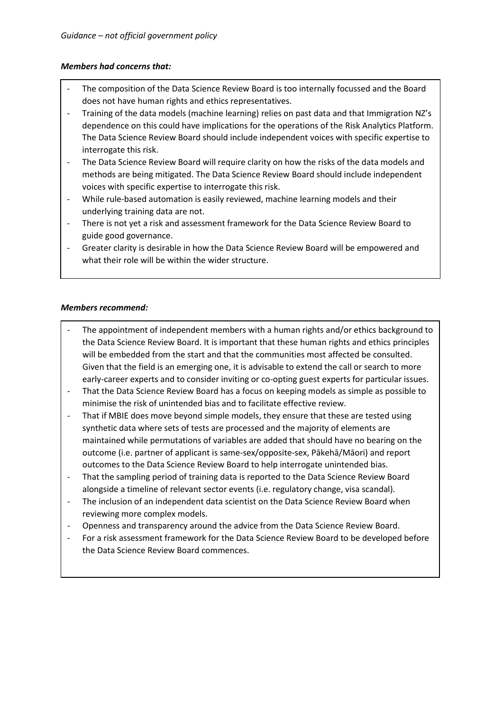### *Members had concerns that:*

- The composition of the Data Science Review Board is too internally focussed and the Board does not have human rights and ethics representatives.
- Training of the data models (machine learning) relies on past data and that Immigration NZ's dependence on this could have implications for the operations of the Risk Analytics Platform. The Data Science Review Board should include independent voices with specific expertise to interrogate this risk.
- The Data Science Review Board will require clarity on how the risks of the data models and methods are being mitigated. The Data Science Review Board should include independent voices with specific expertise to interrogate this risk.
- While rule-based automation is easily reviewed, machine learning models and their underlying training data are not.
- There is not yet a risk and assessment framework for the Data Science Review Board to guide good governance.
- Greater clarity is desirable in how the Data Science Review Board will be empowered and what their role will be within the wider structure.

### *Members recommend:*

- The appointment of independent members with a human rights and/or ethics background to the Data Science Review Board. It is important that these human rights and ethics principles will be embedded from the start and that the communities most affected be consulted. Given that the field is an emerging one, it is advisable to extend the call or search to more early-career experts and to consider inviting or co-opting guest experts for particular issues.
- That the Data Science Review Board has a focus on keeping models as simple as possible to minimise the risk of unintended bias and to facilitate effective review.
- That if MBIE does move beyond simple models, they ensure that these are tested using synthetic data where sets of tests are processed and the majority of elements are maintained while permutations of variables are added that should have no bearing on the outcome (i.e. partner of applicant is same-sex/opposite-sex, Pākehā/Māori) and report outcomes to the Data Science Review Board to help interrogate unintended bias.
- That the sampling period of training data is reported to the Data Science Review Board alongside a timeline of relevant sector events (i.e. regulatory change, visa scandal).
- The inclusion of an independent data scientist on the Data Science Review Board when reviewing more complex models.
- Openness and transparency around the advice from the Data Science Review Board.
- For a risk assessment framework for the Data Science Review Board to be developed before the Data Science Review Board commences.